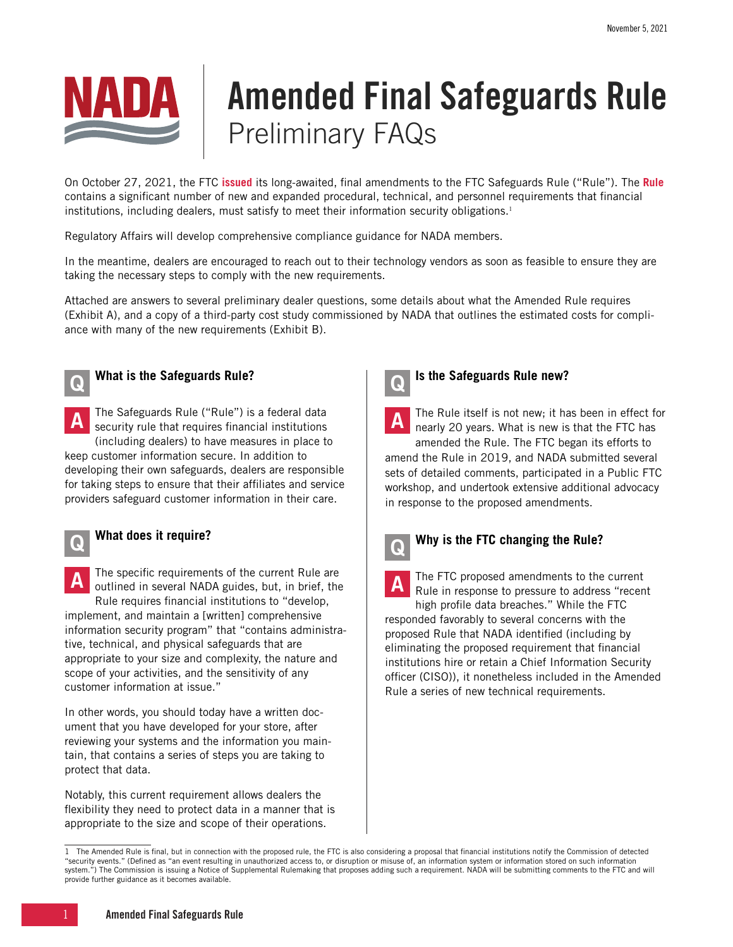

# Amended Final Safeguards Rule Preliminary FAQs

On October 27, 2021, the FTC **[issued](https://www.ftc.gov/news-events/press-releases/2021/10/ftc-strengthens-security-safeguards-consumer-financial)** its long-awaited, final amendments to the FTC Safeguards Rule ("Rule"). The **[Rule](https://www.ftc.gov/system/files/documents/federal_register_notices/2021/10/safeguards_rule_final.pdf)** contains a significant number of new and expanded procedural, technical, and personnel requirements that financial institutions, including dealers, must satisfy to meet their information security obligations.<sup>1</sup>

Regulatory Affairs will develop comprehensive compliance guidance for NADA members.

In the meantime, dealers are encouraged to reach out to their technology vendors as soon as feasible to ensure they are taking the necessary steps to comply with the new requirements.

Attached are answers to several preliminary dealer questions, some details about what the Amended Rule requires (Exhibit A), and a copy of a third-party cost study commissioned by NADA that outlines the estimated costs for compliance with many of the new requirements (Exhibit B).



#### Q **What is the Safeguards Rule?**

A The Safeguards Rule ("Rule") is a federal data<br>
Security rule that requires financial institutions (including dealers) to have measures in place to

keep customer information secure. In addition to developing their own safeguards, dealers are responsible for taking steps to ensure that their affiliates and service providers safeguard customer information in their care.



#### Q **What does it require?**

The specific requirements of the current Rule are outlined in several NADA guides, but, in brief, the

Rule requires financial institutions to "develop, implement, and maintain a [written] comprehensive information security program" that "contains administrative, technical, and physical safeguards that are appropriate to your size and complexity, the nature and scope of your activities, and the sensitivity of any customer information at issue."

In other words, you should today have a written document that you have developed for your store, after reviewing your systems and the information you maintain, that contains a series of steps you are taking to protect that data.

Notably, this current requirement allows dealers the flexibility they need to protect data in a manner that is appropriate to the size and scope of their operations.



### Q **Is the Safeguards Rule new?**

The Rule itself is not new; it has been in effect for nearly 20 years. What is new is that the FTC has amended the Rule. The FTC began its efforts to

amend the Rule in 2019, and NADA submitted several sets of detailed comments, participated in a Public FTC workshop, and undertook extensive additional advocacy in response to the proposed amendments.



#### Q **Why is the FTC changing the Rule?**

A The FTC proposed amendments to the current<br>Rule in response to pressure to address "recent high profile data breaches." While the FTC responded favorably to several concerns with the proposed Rule that NADA identified (including by

eliminating the proposed requirement that financial institutions hire or retain a Chief Information Security officer (CISO)), it nonetheless included in the Amended Rule a series of new technical requirements.

<sup>1</sup> The Amended Rule is final, but in connection with the proposed rule, the FTC is also considering a proposal that financial institutions notify the Commission of detected "security events." (Defined as "an event resulting in unauthorized access to, or disruption or misuse of, an information system or information stored on such information system.") The Commission is issuing a Notice of Supplemental Rulemaking that proposes adding such a requirement. NADA will be submitting comments to the FTC and will provide further guidance as it becomes available.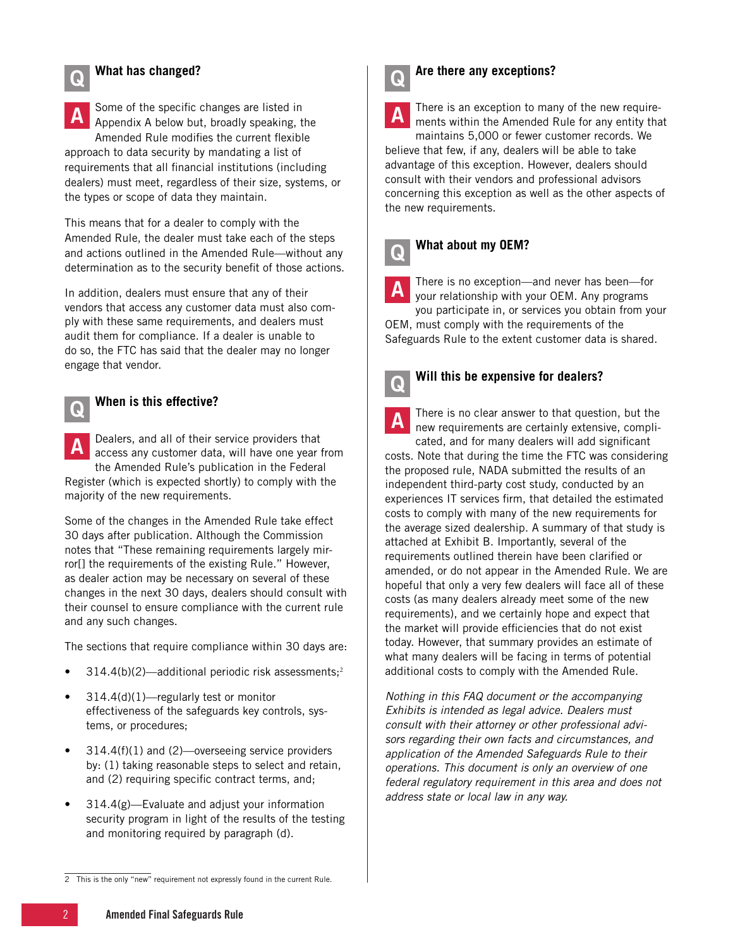### Q **What has changed?**

**A** Some of the specific changes are listed in<br>A Appendix A below but, broadly speaking, the Amended Rule modifies the current flexible approach to data security by mandating a list of requirements that all financial institutions (including dealers) must meet, regardless of their size, systems, or the types or scope of data they maintain.

This means that for a dealer to comply with the Amended Rule, the dealer must take each of the steps and actions outlined in the Amended Rule—without any determination as to the security benefit of those actions.

In addition, dealers must ensure that any of their vendors that access any customer data must also comply with these same requirements, and dealers must audit them for compliance. If a dealer is unable to do so, the FTC has said that the dealer may no longer engage that vendor.



#### Q **When is this effective?**

**A** Dealers, and all of their service providers that access any customer data, will have one year from the Amended Rule's publication in the Federal Register (which is expected shortly) to comply with the majority of the new requirements.

Some of the changes in the Amended Rule take effect 30 days after publication. Although the Commission notes that "These remaining requirements largely mirror[] the requirements of the existing Rule." However, as dealer action may be necessary on several of these changes in the next 30 days, dealers should consult with their counsel to ensure compliance with the current rule and any such changes.

The sections that require compliance within 30 days are:

- $314.4(b)(2)$ —additional periodic risk assessments;<sup>2</sup>
- 314.4(d)(1)—regularly test or monitor effectiveness of the safeguards key controls, systems, or procedures;
- $314.4(f)(1)$  and  $(2)$ —overseeing service providers by: (1) taking reasonable steps to select and retain, and (2) requiring specific contract terms, and;
- 314.4(g)—Evaluate and adjust your information security program in light of the results of the testing and monitoring required by paragraph (d).



### Q **Are there any exceptions?**

**A** There is an exception to many of the new require-<br>ments within the Amended Rule for any entity that maintains 5,000 or fewer customer records. We

believe that few, if any, dealers will be able to take advantage of this exception. However, dealers should consult with their vendors and professional advisors concerning this exception as well as the other aspects of the new requirements.

### Q **What about my OEM?**

There is no exception—and never has been—for your relationship with your OEM. Any programs you participate in, or services you obtain from your

OEM, must comply with the requirements of the Safeguards Rule to the extent customer data is shared.



### Q **Will this be expensive for dealers?**

A There is no clear answer to that question, but the new requirements are certainly extensive, compli-

cated, and for many dealers will add significant costs. Note that during the time the FTC was considering the proposed rule, NADA submitted the results of an independent third-party cost study, conducted by an experiences IT services firm, that detailed the estimated costs to comply with many of the new requirements for the average sized dealership. A summary of that study is attached at Exhibit B. Importantly, several of the requirements outlined therein have been clarified or amended, or do not appear in the Amended Rule. We are hopeful that only a very few dealers will face all of these costs (as many dealers already meet some of the new requirements), and we certainly hope and expect that the market will provide efficiencies that do not exist today. However, that summary provides an estimate of what many dealers will be facing in terms of potential additional costs to comply with the Amended Rule.

*Nothing in this FAQ document or the accompanying Exhibits is intended as legal advice. Dealers must consult with their attorney or other professional advisors regarding their own facts and circumstances, and application of the Amended Safeguards Rule to their operations. This document is only an overview of one federal regulatory requirement in this area and does not address state or local law in any way.*

<sup>2</sup> This is the only "new" requirement not expressly found in the current Rule.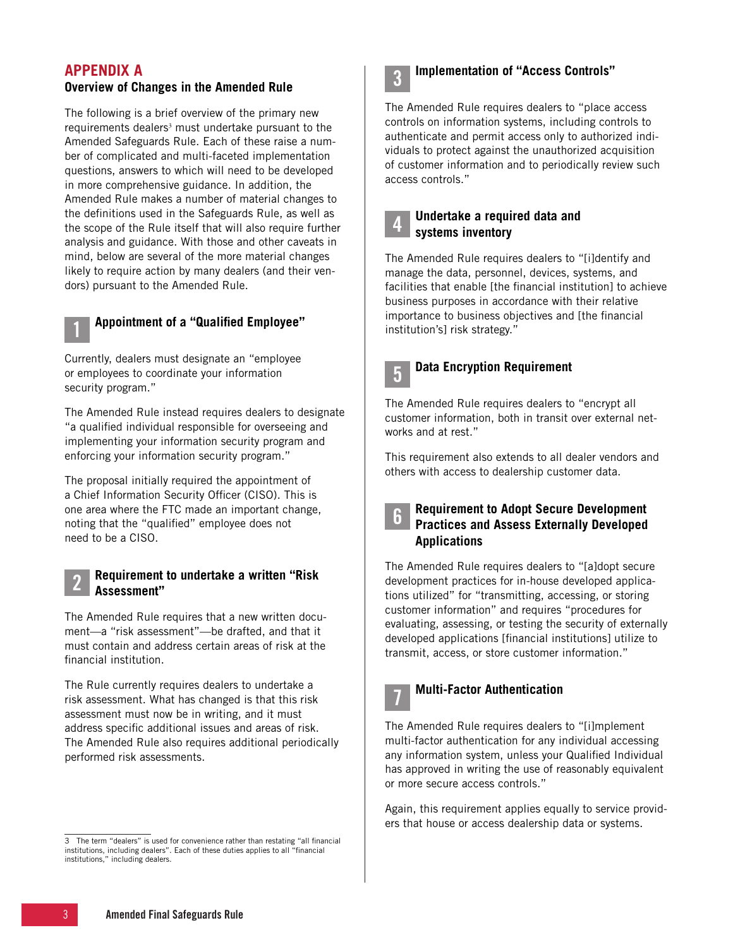### **APPENDIX A**

#### **Overview of Changes in the Amended Rule**

The following is a brief overview of the primary new requirements dealers<sup>3</sup> must undertake pursuant to the Amended Safeguards Rule. Each of these raise a number of complicated and multi-faceted implementation questions, answers to which will need to be developed in more comprehensive guidance. In addition, the Amended Rule makes a number of material changes to the definitions used in the Safeguards Rule, as well as the scope of the Rule itself that will also require further analysis and guidance. With those and other caveats in mind, below are several of the more material changes likely to require action by many dealers (and their vendors) pursuant to the Amended Rule.

### 1 **Appointment of a "Qualified Employee"**

Currently, dealers must designate an "employee or employees to coordinate your information security program."

The Amended Rule instead requires dealers to designate "a qualified individual responsible for overseeing and implementing your information security program and enforcing your information security program."

The proposal initially required the appointment of a Chief Information Security Officer (CISO). This is one area where the FTC made an important change, noting that the "qualified" employee does not need to be a CISO.

#### 2 **Requirement to undertake a written "Risk Assessment"**

The Amended Rule requires that a new written document—a "risk assessment"—be drafted, and that it must contain and address certain areas of risk at the financial institution.

The Rule currently requires dealers to undertake a risk assessment. What has changed is that this risk assessment must now be in writing, and it must address specific additional issues and areas of risk. The Amended Rule also requires additional periodically performed risk assessments.



### 3 **Implementation of "Access Controls"**

The Amended Rule requires dealers to "place access controls on information systems, including controls to authenticate and permit access only to authorized individuals to protect against the unauthorized acquisition of customer information and to periodically review such access controls."



#### 4 **Undertake a required data and systems inventory**

The Amended Rule requires dealers to "[i]dentify and manage the data, personnel, devices, systems, and facilities that enable [the financial institution] to achieve business purposes in accordance with their relative importance to business objectives and [the financial institution's] risk strategy."



### 5 **Data Encryption Requirement**

The Amended Rule requires dealers to "encrypt all customer information, both in transit over external networks and at rest."

This requirement also extends to all dealer vendors and others with access to dealership customer data.

6 **Requirement to Adopt Secure Development Practices and Assess Externally Developed Applications**

The Amended Rule requires dealers to "[a]dopt secure development practices for in-house developed applications utilized" for "transmitting, accessing, or storing customer information" and requires "procedures for evaluating, assessing, or testing the security of externally developed applications [financial institutions] utilize to transmit, access, or store customer information."



#### 7 **Multi-Factor Authentication**

The Amended Rule requires dealers to "[i]mplement multi-factor authentication for any individual accessing any information system, unless your Qualified Individual has approved in writing the use of reasonably equivalent or more secure access controls."

Again, this requirement applies equally to service providers that house or access dealership data or systems.

<sup>3</sup> The term "dealers" is used for convenience rather than restating "all financial institutions, including dealers". Each of these duties applies to all "financial institutions," including dealers.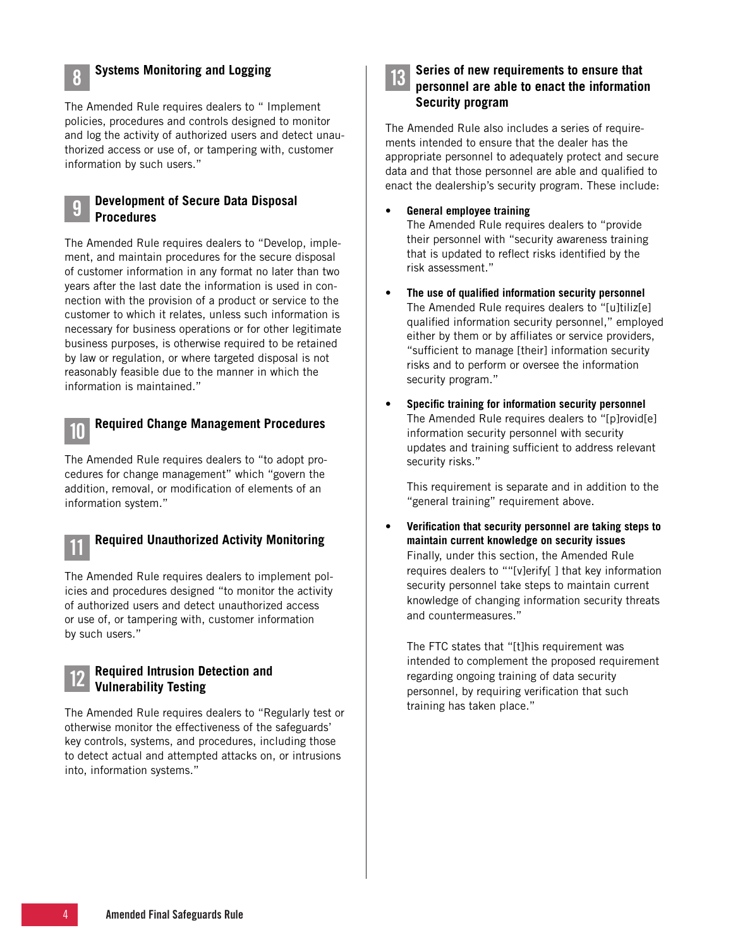

### 8 **Systems Monitoring and Logging**

The Amended Rule requires dealers to " Implement policies, procedures and controls designed to monitor and log the activity of authorized users and detect unauthorized access or use of, or tampering with, customer information by such users."

#### 9 **Development of Secure Data Disposal Procedures**

The Amended Rule requires dealers to "Develop, implement, and maintain procedures for the secure disposal of customer information in any format no later than two years after the last date the information is used in connection with the provision of a product or service to the customer to which it relates, unless such information is necessary for business operations or for other legitimate business purposes, is otherwise required to be retained by law or regulation, or where targeted disposal is not reasonably feasible due to the manner in which the information is maintained."



### 10 **Required Change Management Procedures**

The Amended Rule requires dealers to "to adopt procedures for change management" which "govern the addition, removal, or modification of elements of an information system."

### 11 **Required Unauthorized Activity Monitoring**

The Amended Rule requires dealers to implement policies and procedures designed "to monitor the activity of authorized users and detect unauthorized access or use of, or tampering with, customer information by such users."

#### 12 **Required Intrusion Detection and Vulnerability Testing**

The Amended Rule requires dealers to "Regularly test or otherwise monitor the effectiveness of the safeguards' key controls, systems, and procedures, including those to detect actual and attempted attacks on, or intrusions into, information systems."

|--|

#### 13 **Series of new requirements to ensure that personnel are able to enact the information Security program**

The Amended Rule also includes a series of requirements intended to ensure that the dealer has the appropriate personnel to adequately protect and secure data and that those personnel are able and qualified to enact the dealership's security program. These include:

#### **• General employee training**

The Amended Rule requires dealers to "provide their personnel with "security awareness training that is updated to reflect risks identified by the risk assessment."

- **• The use of qualified information security personnel** The Amended Rule requires dealers to "[u]tiliz[e] qualified information security personnel," employed either by them or by affiliates or service providers, "sufficient to manage [their] information security risks and to perform or oversee the information security program."
- **• Specific training for information security personnel** The Amended Rule requires dealers to "[p]rovid[e] information security personnel with security updates and training sufficient to address relevant security risks."

This requirement is separate and in addition to the "general training" requirement above.

**• Verification that security personnel are taking steps to maintain current knowledge on security issues** Finally, under this section, the Amended Rule requires dealers to ""[v]erify[ ] that key information security personnel take steps to maintain current knowledge of changing information security threats and countermeasures."

The FTC states that "[t]his requirement was intended to complement the proposed requirement regarding ongoing training of data security personnel, by requiring verification that such training has taken place."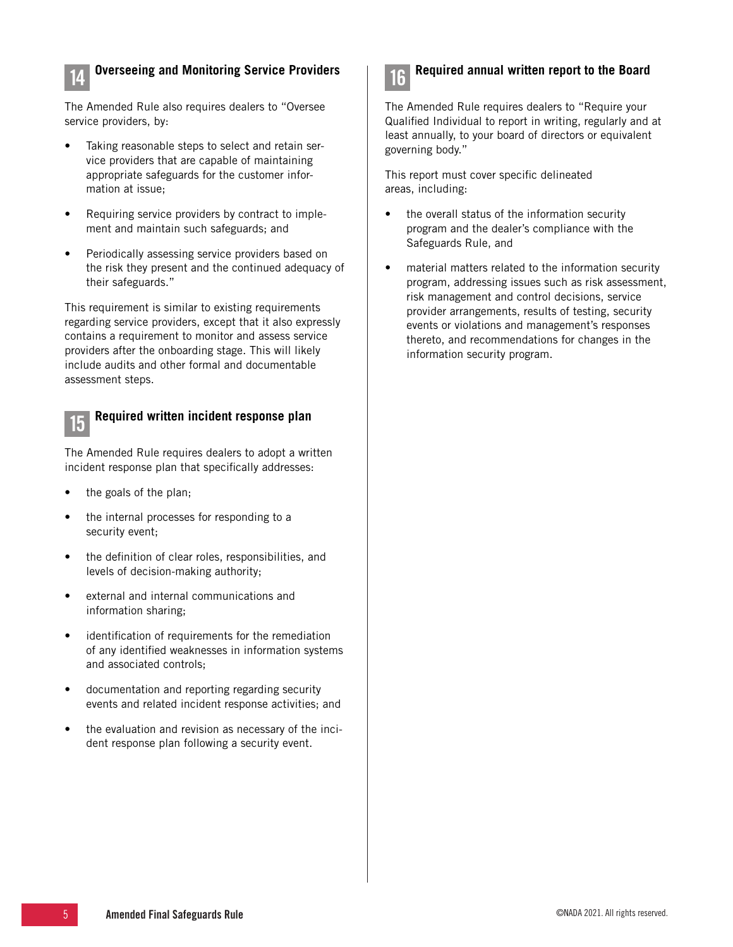

### 14 **Overseeing and Monitoring Service Providers**

The Amended Rule also requires dealers to "Oversee service providers, by:

- Taking reasonable steps to select and retain service providers that are capable of maintaining appropriate safeguards for the customer information at issue;
- Requiring service providers by contract to implement and maintain such safeguards; and
- Periodically assessing service providers based on the risk they present and the continued adequacy of their safeguards."

This requirement is similar to existing requirements regarding service providers, except that it also expressly contains a requirement to monitor and assess service providers after the onboarding stage. This will likely include audits and other formal and documentable assessment steps.



## 15 **Required written incident response plan**

The Amended Rule requires dealers to adopt a written incident response plan that specifically addresses:

- the goals of the plan;
- the internal processes for responding to a security event;
- the definition of clear roles, responsibilities, and levels of decision-making authority;
- external and internal communications and information sharing;
- identification of requirements for the remediation of any identified weaknesses in information systems and associated controls;
- documentation and reporting regarding security events and related incident response activities; and
- the evaluation and revision as necessary of the incident response plan following a security event.



### 16 **Required annual written report to the Board**

The Amended Rule requires dealers to "Require your Qualified Individual to report in writing, regularly and at least annually, to your board of directors or equivalent governing body."

This report must cover specific delineated areas, including:

- the overall status of the information security program and the dealer's compliance with the Safeguards Rule, and
- material matters related to the information security program, addressing issues such as risk assessment, risk management and control decisions, service provider arrangements, results of testing, security events or violations and management's responses thereto, and recommendations for changes in the information security program.